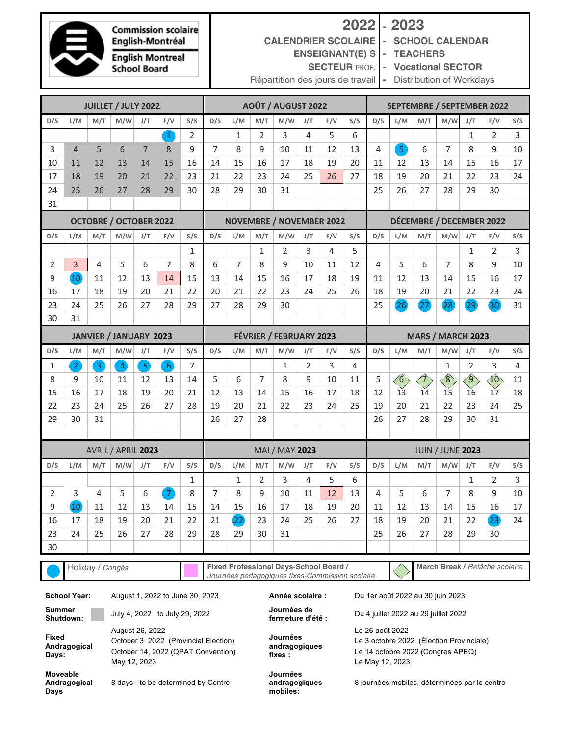| <b>Commission scolaire</b><br>English-Montréal<br><b>English Montreal</b><br><b>School Board</b> |                |                |                    |                |                |                |                | 2022 - 2023<br><b>SCHOOL CALENDAR</b><br><b>CALENDRIER SCOLAIRE</b><br>$\overline{\phantom{a}}$<br><b>ENSEIGNANT(E) S</b><br><b>TEACHERS</b><br><b>SECTEUR PROF.</b><br><b>Vocational SECTOR</b><br>Répartition des jours de travail<br>Distribution of Workdays<br>$\overline{\phantom{a}}$ |                |                |                |     |     |     |                                   |                                      |                                                            |                                                            |                      |     |  |
|--------------------------------------------------------------------------------------------------|----------------|----------------|--------------------|----------------|----------------|----------------|----------------|----------------------------------------------------------------------------------------------------------------------------------------------------------------------------------------------------------------------------------------------------------------------------------------------|----------------|----------------|----------------|-----|-----|-----|-----------------------------------|--------------------------------------|------------------------------------------------------------|------------------------------------------------------------|----------------------|-----|--|
| <b>JUILLET / JULY 2022</b>                                                                       |                |                |                    |                |                |                |                | <b>AOÛT / AUGUST 2022</b>                                                                                                                                                                                                                                                                    |                |                |                |     |     |     | <b>SEPTEMBRE / SEPTEMBER 2022</b> |                                      |                                                            |                                                            |                      |     |  |
| D/S                                                                                              | L/M            | M/T            | M/W                | J/T            | F/V            | S/S            | D/S            | L/M                                                                                                                                                                                                                                                                                          | M/T            | M/W            | J/T            | F/V | S/S | D/S | L/M                               | M/T                                  | M/W                                                        | J/T                                                        | F/V                  | S/S |  |
|                                                                                                  |                |                |                    |                | $\mathbf{1}$   | $\overline{2}$ |                | $\mathbf{1}$                                                                                                                                                                                                                                                                                 | $\overline{2}$ | 3              | 4              | 5   | 6   |     |                                   |                                      |                                                            | $\mathbf{1}$                                               | $\overline{2}$       | 3   |  |
| 3                                                                                                | 4              | 5              | 6                  | $\overline{7}$ | 8              | 9              | $\overline{7}$ | 8                                                                                                                                                                                                                                                                                            | 9              | 10             | 11             | 12  | 13  | 4   | 5                                 | 6                                    | $\overline{7}$                                             | 8                                                          | 9                    | 10  |  |
| 10                                                                                               | 11             | 12             | 13                 | 14             | 15             | 16             | 14             | 15                                                                                                                                                                                                                                                                                           | 16             | 17             | 18             | 19  | 20  | 11  | 12                                | 13                                   | 14                                                         | 15                                                         | 16                   | 17  |  |
| 17                                                                                               | 18             | 19             | 20                 | 21             | 22             | 23             | 21             | 22                                                                                                                                                                                                                                                                                           | 23             | 24             | 25             | 26  | 27  | 18  | 19                                | 20                                   | 21                                                         | 22                                                         | 23                   | 24  |  |
| 24                                                                                               | 25             | 26             | 27                 | 28             | 29             | 30             | 28             | 29                                                                                                                                                                                                                                                                                           | 30             | 31             |                |     |     | 25  | 26                                | 27                                   | 28                                                         | 29                                                         | 30                   |     |  |
| 31                                                                                               |                |                |                    |                |                |                |                |                                                                                                                                                                                                                                                                                              |                |                |                |     |     |     |                                   |                                      |                                                            |                                                            |                      |     |  |
| <b>OCTOBRE / OCTOBER 2022</b>                                                                    |                |                |                    |                |                |                |                | <b>NOVEMBRE / NOVEMBER 2022</b>                                                                                                                                                                                                                                                              |                |                |                |     |     |     | DÉCEMBRE / DECEMBER 2022          |                                      |                                                            |                                                            |                      |     |  |
| D/S                                                                                              | L/M            | M/T            | M/W                | J/T            | F/V            | S/S            | D/S            | L/M                                                                                                                                                                                                                                                                                          | M/T            | M/W            | J/T            | F/V | S/S | D/S | L/M                               | M/T                                  | M/W                                                        | J/T                                                        | F/V                  | S/S |  |
|                                                                                                  |                |                |                    |                |                | 1              |                |                                                                                                                                                                                                                                                                                              | 1              | $\overline{2}$ | 3              | 4   | 5   |     |                                   |                                      |                                                            | 1                                                          | 2                    | 3   |  |
| $\overline{2}$                                                                                   | 3              | 4              | 5                  | 6              | $\overline{7}$ | 8              | 6              | 7                                                                                                                                                                                                                                                                                            | 8              | 9              | 10             | 11  | 12  | 4   | 5                                 | 6                                    | $\overline{7}$                                             | 8                                                          | 9                    | 10  |  |
| 9                                                                                                | 10             | 11             | 12                 | 13             | 14             | 15             | 13             | 14                                                                                                                                                                                                                                                                                           | 15             | 16             | 17             | 18  | 19  | 11  | 12                                | 13                                   | 14                                                         | 15                                                         | 16                   | 17  |  |
| 16                                                                                               | 17             | 18             | 19                 | 20             | 21             | 22             | 20             | 21                                                                                                                                                                                                                                                                                           | 22             | 23             | 24             | 25  | 26  | 18  | 19                                | 20                                   | 21                                                         | 22                                                         | 23                   | 24  |  |
| 23                                                                                               | 24             | 25             | 26                 | 27             | 28             | 29             | 27             | 28                                                                                                                                                                                                                                                                                           | 29             | 30             |                |     |     | 25  | 26                                | 27 <sup>°</sup>                      | 28                                                         | 29                                                         | 30                   | 31  |  |
| 30                                                                                               | 31             |                |                    |                |                |                |                |                                                                                                                                                                                                                                                                                              |                |                |                |     |     |     |                                   |                                      |                                                            |                                                            |                      |     |  |
| <b>JANVIER / JANUARY 2023</b>                                                                    |                |                |                    |                |                |                |                | <b>FÉVRIER / FEBRUARY 2023</b>                                                                                                                                                                                                                                                               |                |                |                |     |     |     | MARS / MARCH 2023                 |                                      |                                                            |                                                            |                      |     |  |
| D/S                                                                                              | L/M            | M/T            | M/W                | J/T            | F/V            | S/S            | D/S            | L/M                                                                                                                                                                                                                                                                                          | M/T            | M/W            | J/T            | F/V | S/S | D/S | L/M                               | M/T                                  | M/W                                                        | J/T                                                        | F/V                  | S/S |  |
| 1                                                                                                | 2 <sup>1</sup> | 3 <sup>1</sup> | 4                  | 5              | 6 <sup>1</sup> | $\overline{7}$ |                |                                                                                                                                                                                                                                                                                              |                | 1              | 2              | 3   | 4   |     |                                   |                                      | 1                                                          | 2                                                          | 3                    | 4   |  |
| 8                                                                                                | 9              | 10             | 11                 | 12             | 13             | 14             | 5              | 6                                                                                                                                                                                                                                                                                            | 7              | 8              | 9              | 10  | 11  | 5   | $\langle 6 \rangle$               | $\left\langle \hat{7} \right\rangle$ | $\left\langle \begin{matrix} 8 \end{matrix} \right\rangle$ | $\left\langle \begin{matrix} 9 \end{matrix} \right\rangle$ | $\langle 10 \rangle$ | 11  |  |
| 15                                                                                               | 16             | 17             | 18                 | 19             | 20             | 21             | 12             | 13                                                                                                                                                                                                                                                                                           | 14             | 15             | 16             | 17  | 18  | 12  | 13                                | 14                                   | 15                                                         | 16                                                         | 17                   | 18  |  |
| 22                                                                                               | 23             | 24             | 25                 | 26             | 27             | 28             | 19             | 20                                                                                                                                                                                                                                                                                           | 21             | 22             | 23             | 24  | 25  | 19  | 20                                | 21                                   | 22                                                         | 23                                                         | 24                   | 25  |  |
| 29                                                                                               | 30             | 31             |                    |                |                |                | 26             | 27                                                                                                                                                                                                                                                                                           | 28             |                |                |     |     | 26  | 27                                | 28                                   | 29                                                         | 30                                                         | 31                   |     |  |
|                                                                                                  |                |                |                    |                |                |                |                |                                                                                                                                                                                                                                                                                              |                |                |                |     |     |     |                                   |                                      |                                                            |                                                            |                      |     |  |
|                                                                                                  |                |                | AVRIL / APRIL 2023 |                |                |                |                | <b>MAI / MAY 2023</b>                                                                                                                                                                                                                                                                        |                |                |                |     |     |     | <b>JUIN / JUNE 2023</b>           |                                      |                                                            |                                                            |                      |     |  |
| D/S                                                                                              | L/M            | M/T            | M/W                | J/T            | F/V            | S/S            | D/S            | L/M                                                                                                                                                                                                                                                                                          | M/T            | M/W            | J/T            | F/V | S/S | D/S | L/M                               | M/T                                  | M/W                                                        | J/T                                                        | F/V                  | S/S |  |
|                                                                                                  |                |                |                    |                |                | $\mathbf{1}$   |                | 1                                                                                                                                                                                                                                                                                            | $\overline{2}$ | 3              | $\overline{4}$ | 5   | 6   |     |                                   |                                      |                                                            | $\mathbf{1}$                                               | 2                    | 3   |  |
| 2                                                                                                | 3              | 4              | 5                  | 6              | $\overline{7}$ | 8              | $\overline{7}$ | 8                                                                                                                                                                                                                                                                                            | 9              | 10             | 11             | 12  | 13  | 4   | 5                                 | 6                                    | $\overline{7}$                                             | 8                                                          | 9                    | 10  |  |
| 9                                                                                                | 10             | 11             | 12                 | 13             | 14             | 15             | 14             | 15                                                                                                                                                                                                                                                                                           | 16             | 17             | 18             | 19  | 20  | 11  | 12                                | 13                                   | 14                                                         | 15                                                         | 16                   | 17  |  |
| 16                                                                                               | 17             | 18             | 19                 | 20             | 21             | 22             | 21             | 22                                                                                                                                                                                                                                                                                           | 23             | 24             | 25             | 26  | 27  | 18  | 19                                | 20                                   | 21                                                         | 22                                                         | 23                   | 24  |  |
| 23                                                                                               | 24             | 25             | 26                 | 27             | 28             | 29             | 28             | 29                                                                                                                                                                                                                                                                                           | 30             | 31             |                |     |     | 25  | 26                                | 27                                   | 28                                                         | 29                                                         | 30                   |     |  |
| 30                                                                                               |                |                |                    |                |                |                |                |                                                                                                                                                                                                                                                                                              |                |                |                |     |     |     |                                   |                                      |                                                            |                                                            |                      |     |  |
| Holiday / Congés                                                                                 |                |                |                    |                |                |                |                | Fixed Professional Days-School Board /<br>Journées pédagogiques fixes-Commission scolaire                                                                                                                                                                                                    |                |                |                |     |     |     |                                   | March Break / Relâche scolaire       |                                                            |                                                            |                      |     |  |

**Summer** 

**Fixed Andragogical Days:**

August 26, 2022 October 3, 2022 (Provincial Election) October 14, 2022 (QPAT Convention) May 12, 2023

**Shutdown:** July 4, 2022 to July 29, 2022 **Journées de** 

**Journées andragogiques fixes :**

**Journées andragogiques mobiles:**

**School Year:** August 1, 2022 to June 30, 2023 **Année scolaire :** Du 1er août 2022 au 30 juin 2023

**fermeture d'été :** Du 4 juillet 2022 au 29 juillet 2022

Le 26 août 2022

Le 3 octobre 2022 (Élection Provinciale) Le 14 octobre 2022 (Congres APEQ)

Le May 12, 2023

8 journées mobiles, déterminées par le centre

**Moveable Andragogical Days**

8 days - to be determined by Centre